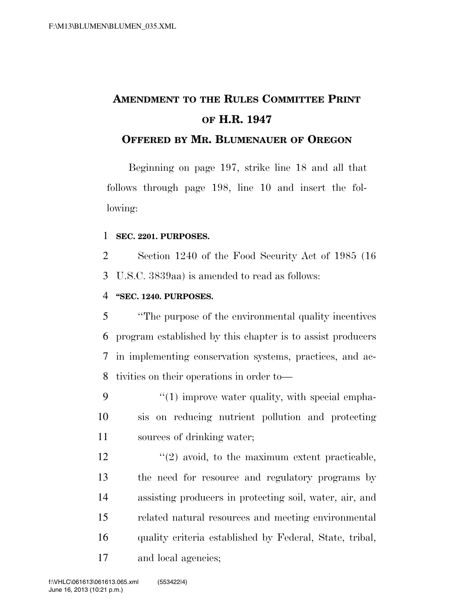# **AMENDMENT TO THE RULES COMMITTEE PRINT OF H.R. 1947**

### **OFFERED BY MR. BLUMENAUER OF OREGON**

Beginning on page 197, strike line 18 and all that follows through page 198, line 10 and insert the following:

#### **SEC. 2201. PURPOSES.**

 Section 1240 of the Food Security Act of 1985 (16 U.S.C. 3839aa) is amended to read as follows:

#### **''SEC. 1240. PURPOSES.**

 ''The purpose of the environmental quality incentives program established by this chapter is to assist producers in implementing conservation systems, practices, and ac-tivities on their operations in order to—

 "(1) improve water quality, with special empha- sis on reducing nutrient pollution and protecting sources of drinking water;

 $\frac{12}{2}$  ''(2) avoid, to the maximum extent practicable, the need for resource and regulatory programs by assisting producers in protecting soil, water, air, and related natural resources and meeting environmental quality criteria established by Federal, State, tribal, and local agencies;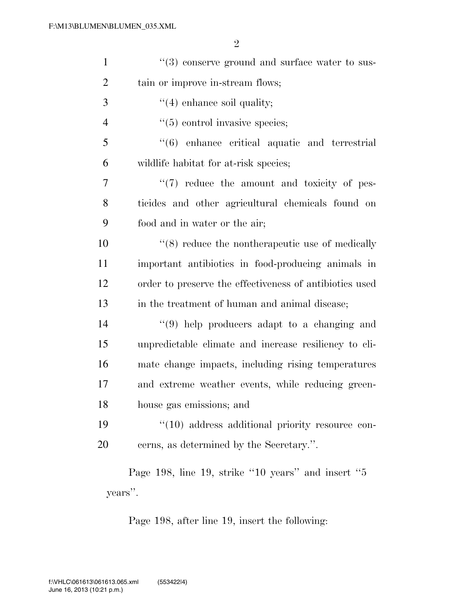| $\mathbf{1}$   | $\lq(3)$ conserve ground and surface water to sus-      |
|----------------|---------------------------------------------------------|
| $\overline{2}$ | tain or improve in-stream flows;                        |
| 3              | $\lq(4)$ enhance soil quality;                          |
| $\overline{4}$ | $\cdot\cdot$ (5) control invasive species;              |
| 5              | $\cdot$ (6) enhance critical aquatic and terrestrial    |
| 6              | wildlife habitat for at-risk species;                   |
| 7              | $\lq(7)$ reduce the amount and toxicity of pes-         |
| 8              | ticides and other agricultural chemicals found on       |
| 9              | food and in water or the air;                           |
| 10             | $\cdot$ (8) reduce the nontherapeutic use of medically  |
| 11             | important antibiotics in food-producing animals in      |
| 12             | order to preserve the effectiveness of antibiotics used |
| 13             | in the treatment of human and animal disease;           |
| 14             | $\lq(9)$ help producers adapt to a changing and         |
| 15             | unpredictable climate and increase resiliency to cli-   |
| 16             | mate change impacts, including rising temperatures      |
| 17             | and extreme weather events, while reducing green-       |
| 18             | house gas emissions; and                                |
| 19             | $\lq(10)$ address additional priority resource con-     |
| 20             | cerns, as determined by the Secretary.".                |
|                | Page 198, line 19, strike "10 years" and insert "5      |

Page 198, line 19, strike ''10 years'' and insert ''5 years''.

Page 198, after line 19, insert the following: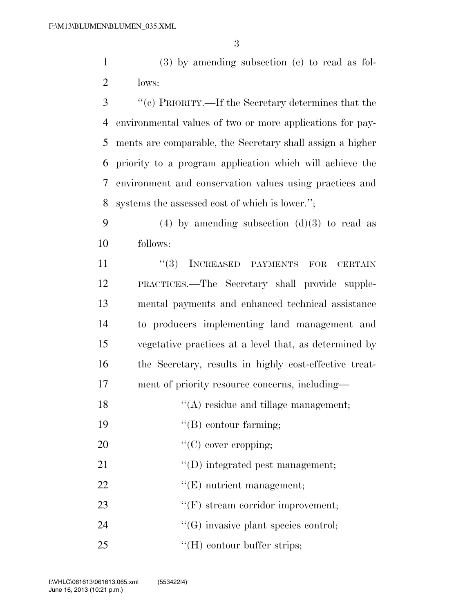1 (3) by amending subsection (c) to read as fol-2 lows:

 ''(c) PRIORITY.—If the Secretary determines that the environmental values of two or more applications for pay- ments are comparable, the Secretary shall assign a higher priority to a program application which will achieve the environment and conservation values using practices and systems the assessed cost of which is lower.'';

9 (4) by amending subsection  $(d)(3)$  to read as 10 follows:

 ''(3) INCREASED PAYMENTS FOR CERTAIN PRACTICES.—The Secretary shall provide supple- mental payments and enhanced technical assistance to producers implementing land management and vegetative practices at a level that, as determined by the Secretary, results in highly cost-effective treat-17 ment of priority resource concerns, including—

18  $\langle (A) \rangle$  residue and tillage management;

19  $"$ (B) contour farming;

20  $\text{``(C) cover cropping;}$ 

21  $\text{``(D) integrated pest management;}$ 

22  $\text{``(E)}$  nutrient management;

23  $\text{``(F)}$  stream corridor improvement;

24  $\langle G \rangle$  invasive plant species control;

25 ''(H) contour buffer strips;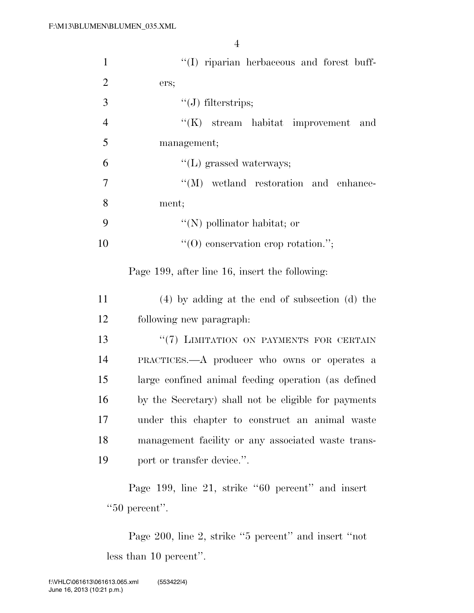| $\mathbf{1}$   | "(I) riparian herbaceous and forest buff-                          |
|----------------|--------------------------------------------------------------------|
| $\overline{2}$ | ers;                                                               |
| 3              | $"(J)$ filterstrips;                                               |
| $\overline{4}$ | $\lq\lq(K)$ stream habitat improvement<br>and                      |
| 5              | management;                                                        |
| 6              | $\lq\lq(L)$ grassed waterways;                                     |
| 7              | $\lq\lq (M)$ wetland restoration and enhance-                      |
| 8              | ment;                                                              |
| 9              | "(N) pollinator habitat; or                                        |
| 10             | $\lq\lq$ conservation erop rotation.";                             |
|                | Page 199, after line 16, insert the following:                     |
| 11             | $(4)$ by adding at the end of subsection (d) the                   |
| 12             | following new paragraph:                                           |
| 13             | "(7) LIMITATION ON PAYMENTS FOR CERTAIN                            |
| 14             | PRACTICES.—A producer who owns or operates a                       |
| 15             | large confined animal feeding operation (as defined                |
| 16             | by the Secretary) shall not be eligible for payments               |
| 17             | under this chapter to construct an animal waste                    |
| 18             | management facility or any associated waste trans-                 |
| 19             | port or transfer device.".                                         |
|                | Page 199, line 21, strike "60 percent" and insert<br>"50 percent". |
|                | Page 200, line 2, strike "5 percent" and insert "not               |

less than 10 percent''.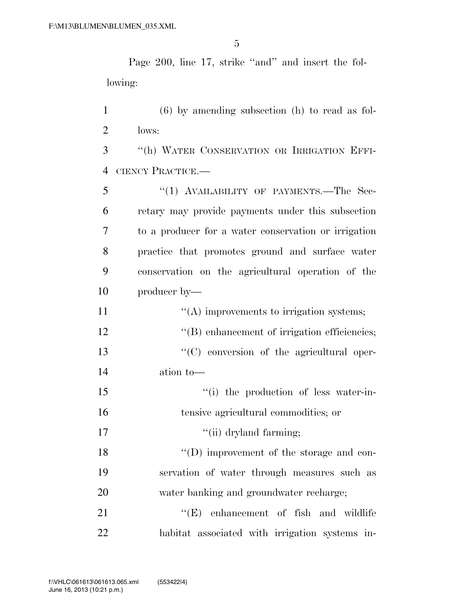Page 200, line 17, strike ''and'' and insert the following:

 (6) by amending subsection (h) to read as fol-lows:

 ''(h) WATER CONSERVATION OR IRRIGATION EFFI-CIENCY PRACTICE.—

5 "(1) AVAILABILITY OF PAYMENTS.—The Sec- retary may provide payments under this subsection to a producer for a water conservation or irrigation practice that promotes ground and surface water conservation on the agricultural operation of the producer by—

| 11 | $\lq\lq$ improvements to irrigation systems;     |
|----|--------------------------------------------------|
| 12 | "(B) enhancement of irrigation efficiencies;     |
| 13 | $\lq\lq$ conversion of the agricultural oper-    |
| 14 | ation to-                                        |
| 15 | "(i) the production of less water-in-            |
| 16 | tensive agricultural commodities; or             |
| 17 | "(ii) dryland farming;                           |
| 18 | $\lq\lq$ (D) improvement of the storage and con- |
| 19 | servation of water through measures such as      |
| 20 | water banking and groundwater recharge;          |
| 21 | $\lq\lq$ (E) enhancement of fish and wildlife    |

habitat associated with irrigation systems in-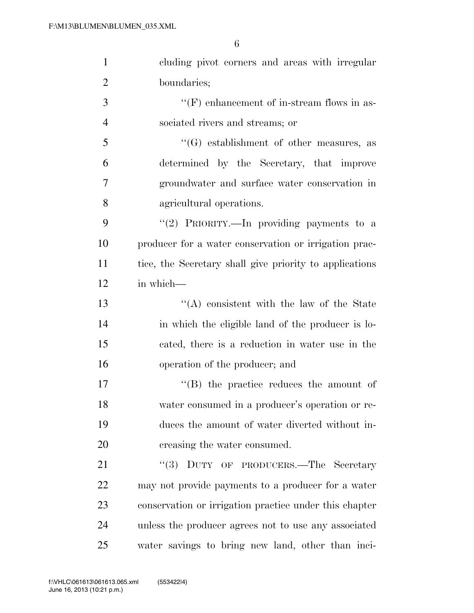| $\mathbf{1}$   | cluding pivot corners and areas with irregular          |
|----------------|---------------------------------------------------------|
| $\overline{2}$ | boundaries;                                             |
| 3              | $\lq\lq(F)$ enhancement of in-stream flows in as-       |
| $\overline{4}$ | sociated rivers and streams; or                         |
| 5              | $\lq\lq(G)$ establishment of other measures, as         |
| 6              | determined by the Secretary, that improve               |
| 7              | groundwater and surface water conservation in           |
| 8              | agricultural operations.                                |
| 9              | "(2) PRIORITY.—In providing payments to a               |
| 10             | producer for a water conservation or irrigation prac-   |
| 11             | tice, the Secretary shall give priority to applications |
| 12             | in which-                                               |
| 13             | "(A) consistent with the law of the State               |
| 14             | in which the eligible land of the producer is lo-       |
| 15             | cated, there is a reduction in water use in the         |
| 16             | operation of the producer; and                          |
| 17             | $\lq\lq$ the practice reduces the amount of             |
| 18             | water consumed in a producer's operation or re-         |
| 19             | duces the amount of water diverted without in-          |
| 20             | creasing the water consumed.                            |
| 21             | "(3) DUTY OF PRODUCERS.—The Secretary                   |
| 22             | may not provide payments to a producer for a water      |
| 23             | conservation or irrigation practice under this chapter  |
| 24             | unless the producer agrees not to use any associated    |
| 25             | water savings to bring new land, other than inci-       |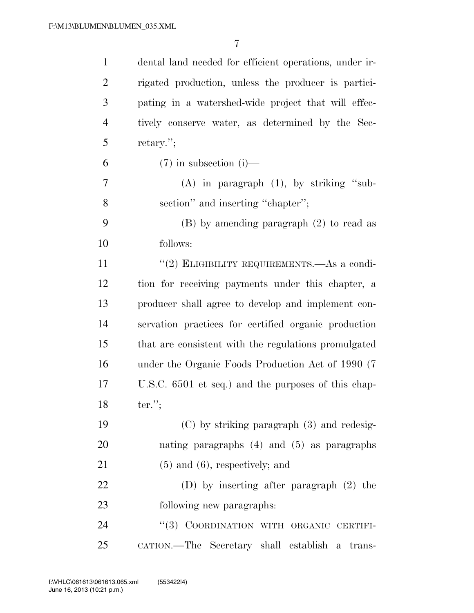| $\mathbf{1}$   | dental land needed for efficient operations, under ir- |
|----------------|--------------------------------------------------------|
| $\overline{2}$ | rigated production, unless the producer is partici-    |
| 3              | pating in a watershed-wide project that will effec-    |
| $\overline{4}$ | tively conserve water, as determined by the Sec-       |
| 5              | retary.";                                              |
| 6              | $(7)$ in subsection (i)—                               |
| 7              | $(A)$ in paragraph $(1)$ , by striking "sub-           |
| 8              | section" and inserting "chapter";                      |
| 9              | $(B)$ by amending paragraph $(2)$ to read as           |
| 10             | follows:                                               |
| 11             | "(2) ELIGIBILITY REQUIREMENTS.—As a condi-             |
| 12             | tion for receiving payments under this chapter, a      |
| 13             | producer shall agree to develop and implement con-     |
| 14             | servation practices for certified organic production   |
| 15             | that are consistent with the regulations promulgated   |
| 16             | under the Organic Foods Production Act of 1990 (7)     |
| 17             | U.S.C. 6501 et seq.) and the purposes of this chap-    |
| 18             | $ter.$ ";                                              |
| 19             | $(C)$ by striking paragraph $(3)$ and redesig-         |
| 20             | nating paragraphs $(4)$ and $(5)$ as paragraphs        |
| 21             | $(5)$ and $(6)$ , respectively; and                    |
| 22             | (D) by inserting after paragraph $(2)$ the             |
| 23             | following new paragraphs:                              |
| 24             | "(3) COORDINATION WITH ORGANIC CERTIFI-                |
| 25             | CATION.—The Secretary shall establish a trans-         |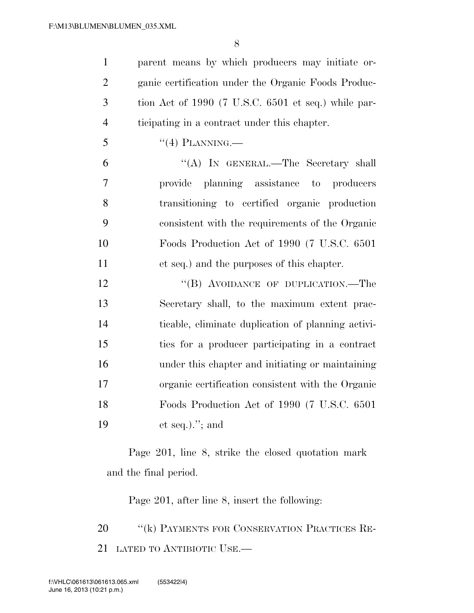parent means by which producers may initiate or- ganic certification under the Organic Foods Produc- tion Act of 1990 (7 U.S.C. 6501 et seq.) while par-ticipating in a contract under this chapter.

5  $((4)$  PLANNING.

 ''(A) IN GENERAL.—The Secretary shall provide planning assistance to producers transitioning to certified organic production consistent with the requirements of the Organic Foods Production Act of 1990 (7 U.S.C. 6501 et seq.) and the purposes of this chapter.

12 "(B) AVOIDANCE OF DUPLICATION.—The Secretary shall, to the maximum extent prac- ticable, eliminate duplication of planning activi- ties for a producer participating in a contract under this chapter and initiating or maintaining organic certification consistent with the Organic Foods Production Act of 1990 (7 U.S.C. 6501 et seq.).''; and

Page 201, line 8, strike the closed quotation mark and the final period.

Page 201, after line 8, insert the following:

20 "(k) PAYMENTS FOR CONSERVATION PRACTICES RE-LATED TO ANTIBIOTIC USE.—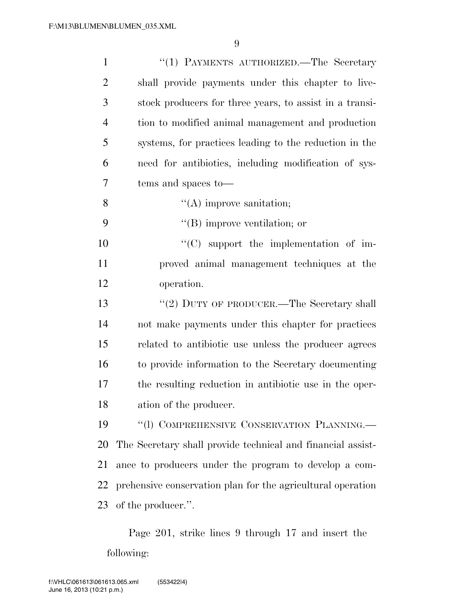| $\mathbf{1}$   | "(1) PAYMENTS AUTHORIZED.—The Secretary                     |
|----------------|-------------------------------------------------------------|
| $\overline{2}$ | shall provide payments under this chapter to live-          |
| 3              | stock producers for three years, to assist in a transi-     |
| $\overline{4}$ | tion to modified animal management and production           |
| 5              | systems, for practices leading to the reduction in the      |
| 6              | need for antibiotics, including modification of sys-        |
| 7              | tems and spaces to—                                         |
| 8              | $\lq\lq$ improve sanitation;                                |
| 9              | $\lq\lq$ (B) improve ventilation; or                        |
| 10             | $\lq\lq$ support the implementation of im-                  |
| 11             | proved animal management techniques at the                  |
| 12             | operation.                                                  |
| 13             | "(2) DUTY OF PRODUCER.—The Secretary shall                  |
| 14             | not make payments under this chapter for practices          |
| 15             | related to antibiotic use unless the producer agrees        |
| 16             | to provide information to the Secretary documenting         |
| 17             | the resulting reduction in antibiotic use in the oper-      |
| 18             | ation of the producer.                                      |
| 19             | "(1) COMPREHENSIVE CONSERVATION PLANNING.                   |
| 20             | The Secretary shall provide technical and financial assist- |
| 21             | ance to producers under the program to develop a com-       |
| 22             | prehensive conservation plan for the agricultural operation |
| 23             | of the producer.".                                          |

Page 201, strike lines 9 through 17 and insert the following: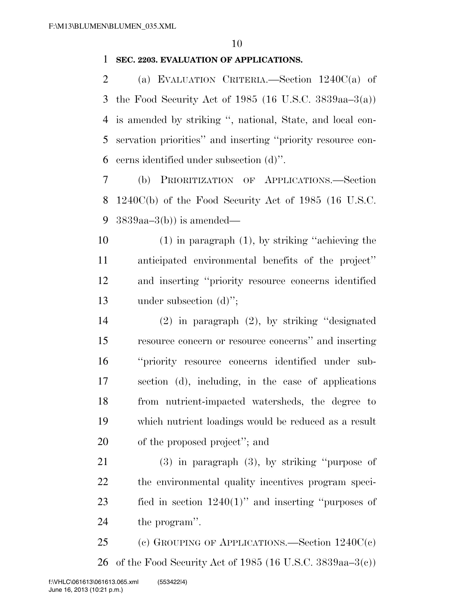#### **SEC. 2203. EVALUATION OF APPLICATIONS.**

 (a) EVALUATION CRITERIA.—Section 1240C(a) of the Food Security Act of 1985 (16 U.S.C. 3839aa–3(a)) is amended by striking '', national, State, and local con- servation priorities'' and inserting ''priority resource con-cerns identified under subsection (d)''.

 (b) PRIORITIZATION OF APPLICATIONS.—Section 1240C(b) of the Food Security Act of 1985 (16 U.S.C. 3839aa–3(b)) is amended—

 (1) in paragraph (1), by striking ''achieving the anticipated environmental benefits of the project'' and inserting ''priority resource concerns identified under subsection (d)'';

 (2) in paragraph (2), by striking ''designated resource concern or resource concerns'' and inserting ''priority resource concerns identified under sub- section (d), including, in the case of applications from nutrient-impacted watersheds, the degree to which nutrient loadings would be reduced as a result of the proposed project''; and

 (3) in paragraph (3), by striking ''purpose of the environmental quality incentives program speci- fied in section 1240(1)'' and inserting ''purposes of the program''.

 (c) GROUPING OF APPLICATIONS.—Section 1240C(c) of the Food Security Act of 1985 (16 U.S.C. 3839aa–3(c))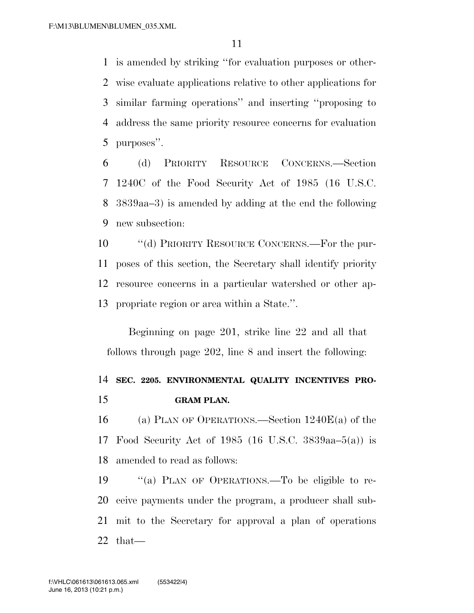is amended by striking ''for evaluation purposes or other- wise evaluate applications relative to other applications for similar farming operations'' and inserting ''proposing to address the same priority resource concerns for evaluation purposes''.

 (d) PRIORITY RESOURCE CONCERNS.—Section 1240C of the Food Security Act of 1985 (16 U.S.C. 3839aa–3) is amended by adding at the end the following new subsection:

 ''(d) PRIORITY RESOURCE CONCERNS.—For the pur- poses of this section, the Secretary shall identify priority resource concerns in a particular watershed or other ap-propriate region or area within a State.''.

Beginning on page 201, strike line 22 and all that follows through page 202, line 8 and insert the following:

### **SEC. 2205. ENVIRONMENTAL QUALITY INCENTIVES PRO-GRAM PLAN.**

 (a) PLAN OF OPERATIONS.—Section 1240E(a) of the Food Security Act of 1985 (16 U.S.C. 3839aa–5(a)) is amended to read as follows:

 ''(a) PLAN OF OPERATIONS.—To be eligible to re- ceive payments under the program, a producer shall sub- mit to the Secretary for approval a plan of operations that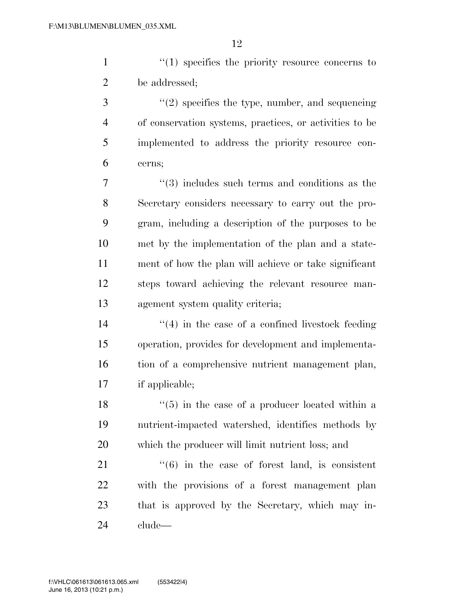1  $\frac{1}{1}$  specifies the priority resource concerns to be addressed;

 ''(2) specifies the type, number, and sequencing of conservation systems, practices, or activities to be implemented to address the priority resource con-cerns;

 $\frac{1}{3}$  includes such terms and conditions as the Secretary considers necessary to carry out the pro- gram, including a description of the purposes to be met by the implementation of the plan and a state- ment of how the plan will achieve or take significant steps toward achieving the relevant resource man-agement system quality criteria;

 $(4)$  in the case of a confined livestock feeding operation, provides for development and implementa- tion of a comprehensive nutrient management plan, if applicable;

 $\frac{18}{18}$  ''(5) in the case of a producer located within a nutrient-impacted watershed, identifies methods by which the producer will limit nutrient loss; and

 ''(6) in the case of forest land, is consistent with the provisions of a forest management plan that is approved by the Secretary, which may in-clude—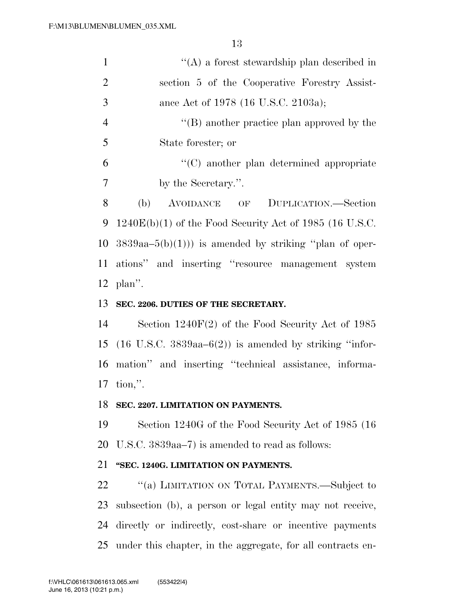| $\mathbf{1}$   | $\lq\lq$ a forest stewardship plan described in                        |
|----------------|------------------------------------------------------------------------|
| $\overline{2}$ | section 5 of the Cooperative Forestry Assist-                          |
| 3              | ance Act of 1978 (16 U.S.C. 2103a);                                    |
| $\overline{4}$ | $\lq\lq (B)$ another practice plan approved by the                     |
| 5              | State forester; or                                                     |
| 6              | $\cdot$ (C) another plan determined appropriate                        |
| $\overline{7}$ | by the Secretary.".                                                    |
| 8              | (b)<br>AVOIDANCE OF DUPLICATION.—Section                               |
| 9              | $1240E(b)(1)$ of the Food Security Act of 1985 (16 U.S.C.              |
| 10             | $3839aa-5(b)(1))$ is amended by striking "plan of oper-                |
| 11             | ations" and inserting "resource management system                      |
| 12             | plan".                                                                 |
| 13             | SEC. 2206. DUTIES OF THE SECRETARY.                                    |
| 14             | Section $1240F(2)$ of the Food Security Act of 1985                    |
| 15             | $(16 \text{ U.S.C. } 3839$ aa $-6(2)$ ) is amended by striking "infor- |
| 16             | mation" and inserting "technical assistance, informa-                  |
| 17             | $\text{tion,"}.$                                                       |
| 18             | SEC. 2207. LIMITATION ON PAYMENTS.                                     |
| 19             | Section 1240G of the Food Security Act of 1985 (16)                    |
| 20             | U.S.C. 3839aa–7) is amended to read as follows:                        |
| 21             | "SEC. 1240G. LIMITATION ON PAYMENTS.                                   |
| 22             | "(a) LIMITATION ON TOTAL PAYMENTS.—Subject to                          |
| 23             | subsection (b), a person or legal entity may not receive,              |
| 24             | directly or indirectly, cost-share or incentive payments               |
|                | 25 under this chapter, in the aggregate, for all contracts en-         |